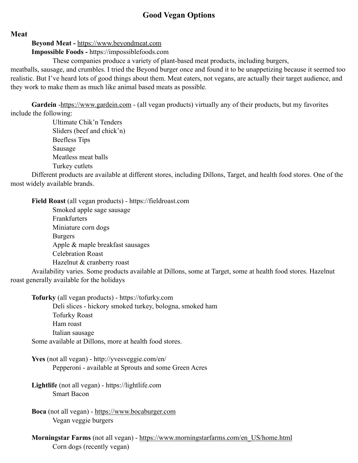## **Good Vegan Options**

**Meat**

**Beyond Meat -** <https://www.beyondmeat.com>

**Impossible Foods -** https://impossiblefoods.com

These companies produce a variety of plant-based meat products, including burgers,

meatballs, sausage, and crumbles. I tried the Beyond burger once and found it to be unappetizing because it seemed too realistic. But I've heard lots of good things about them. Meat eaters, not vegans, are actually their target audience, and they work to make them as much like animal based meats as possible.

**Gardein** -<https://www.gardein.com>- (all vegan products) virtually any of their products, but my favorites include the following:

> Ultimate Chik'n Tenders Sliders (beef and chick'n) Beefless Tips Sausage Meatless meat balls Turkey cutlets

Different products are available at different stores, including Dillons, Target, and health food stores. One of the most widely available brands.

**Field Roast** (all vegan products) - https://fieldroast.com

Smoked apple sage sausage Frankfurters Miniature corn dogs Burgers Apple & maple breakfast sausages Celebration Roast Hazelnut & cranberry roast

Availability varies. Some products available at Dillons, some at Target, some at health food stores. Hazelnut roast generally available for the holidays

**Tofurky** (all vegan products) - https://tofurky.com Deli slices - hickory smoked turkey, bologna, smoked ham Tofurky Roast Ham roast Italian sausage Some available at Dillons, more at health food stores.

**Yves** (not all vegan) - http://yvesveggie.com/en/ Pepperoni - available at Sprouts and some Green Acres

**Lightlife** (not all vegan) - https://lightlife.com Smart Bacon

**Boca** (not all vegan) -<https://www.bocaburger.com> Vegan veggie burgers

**Morningstar Farms** (not all vegan) - [https://www.morningstarfarms.com/en\\_US/home.html](https://www.morningstarfarms.com/en_US/home.html) Corn dogs (recently vegan)